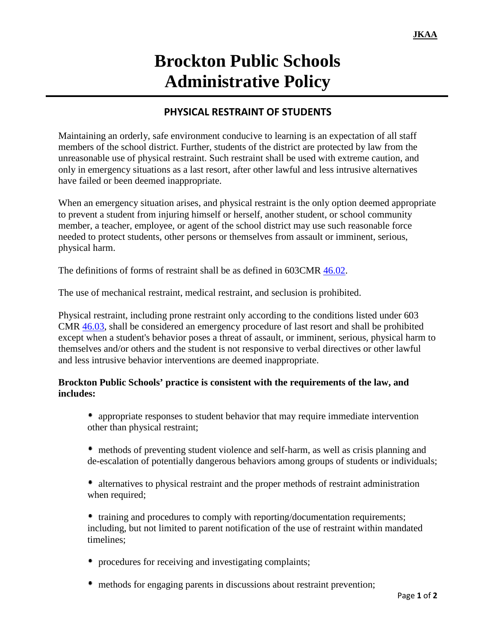## **Brockton Public Schools Administrative Policy**

## **PHYSICAL RESTRAINT OF STUDENTS**

Maintaining an orderly, safe environment conducive to learning is an expectation of all staff members of the school district. Further, students of the district are protected by law from the unreasonable use of physical restraint. Such restraint shall be used with extreme caution, and only in emergency situations as a last resort, after other lawful and less intrusive alternatives have failed or been deemed inappropriate.

When an emergency situation arises, and physical restraint is the only option deemed appropriate to prevent a student from injuring himself or herself, another student, or school community member, a teacher, employee, or agent of the school district may use such reasonable force needed to protect students, other persons or themselves from assault or imminent, serious, physical harm.

The definitions of forms of restraint shall be as defined in 603CMR [46.02.](http://www.doe.mass.edu/lawsregs/603cmr46.html)

The use of mechanical restraint, medical restraint, and seclusion is prohibited.

Physical restraint, including prone restraint only according to the conditions listed under 603 CMR [46.03,](http://www.doe.mass.edu/lawsregs/603cmr46.html) shall be considered an emergency procedure of last resort and shall be prohibited except when a student's behavior poses a threat of assault, or imminent, serious, physical harm to themselves and/or others and the student is not responsive to verbal directives or other lawful and less intrusive behavior interventions are deemed inappropriate.

## **Brockton Public Schools' practice is consistent with the requirements of the law, and includes:**

appropriate responses to student behavior that may require immediate intervention other than physical restraint;

methods of preventing student violence and self-harm, as well as crisis planning and de-escalation of potentially dangerous behaviors among groups of students or individuals;

• alternatives to physical restraint and the proper methods of restraint administration when required;

training and procedures to comply with reporting/documentation requirements; including, but not limited to parent notification of the use of restraint within mandated timelines;

- procedures for receiving and investigating complaints;
- methods for engaging parents in discussions about restraint prevention;